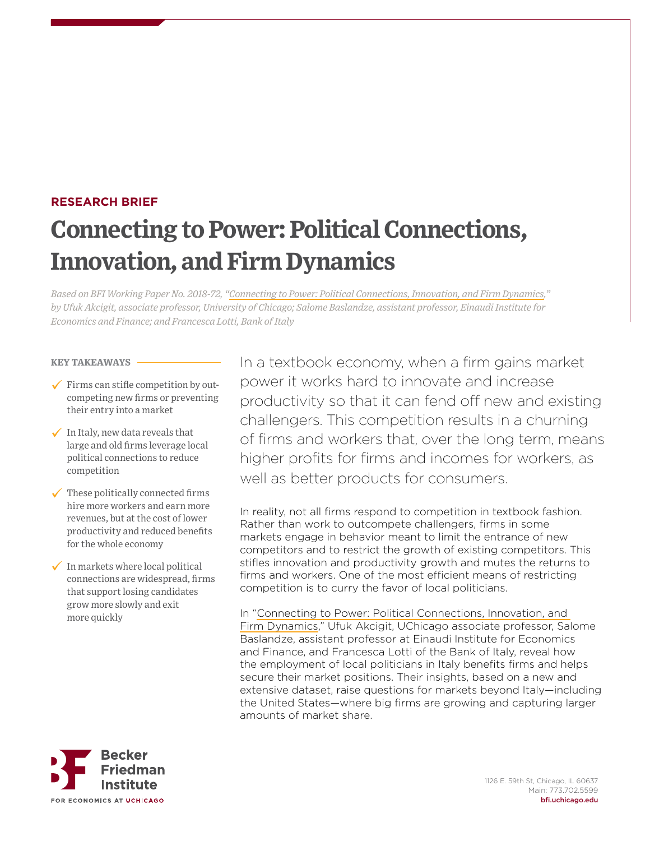# **RESEARCH BRIEF Connecting to Power: Political Connections, Innovation, and Firm Dynamics**

*Based on BFI Working Paper No. 2018-72, ["Connecting to Power: Political Connections, Innovation, and Firm Dynamics,](https://bfi.uchicago.edu/Akcigit-WP-201872)" by Ufuk Akcigit, associate professor, University of Chicago; Salome Baslandze, assistant professor, Einaudi Institute for Economics and Finance; and Francesca Lotti, Bank of Italy*

#### **KEY TAKEAWAYS**

- $\checkmark$  Firms can stifle competition by outcompeting new firms or preventing their entry into a market
- $\checkmark$  In Italy, new data reveals that large and old firms leverage local political connections to reduce competition
- These politically connected firms hire more workers and earn more revenues, but at the cost of lower productivity and reduced benefits for the whole economy
- $\checkmark$  In markets where local political connections are widespread, firms that support losing candidates grow more slowly and exit more quickly

In a textbook economy, when a firm gains market power it works hard to innovate and increase productivity so that it can fend off new and existing challengers. This competition results in a churning of firms and workers that, over the long term, means higher profits for firms and incomes for workers, as well as better products for consumers.

In reality, not all firms respond to competition in textbook fashion. Rather than work to outcompete challengers, firms in some markets engage in behavior meant to limit the entrance of new competitors and to restrict the growth of existing competitors. This stifles innovation and productivity growth and mutes the returns to firms and workers. One of the most efficient means of restricting competition is to curry the favor of local politicians.

In "[Connecting to Power: Political Connections, Innovation, and](https://bfi.uchicago.edu/Akcigit-WP-201872)  [Firm Dynamics,](https://bfi.uchicago.edu/Akcigit-WP-201872)" Ufuk Akcigit, UChicago associate professor, Salome Baslandze, assistant professor at Einaudi Institute for Economics and Finance, and Francesca Lotti of the Bank of Italy, reveal how the employment of local politicians in Italy benefits firms and helps secure their market positions. Their insights, based on a new and extensive dataset, raise questions for markets beyond Italy—including the United States—where big firms are growing and capturing larger amounts of market share.

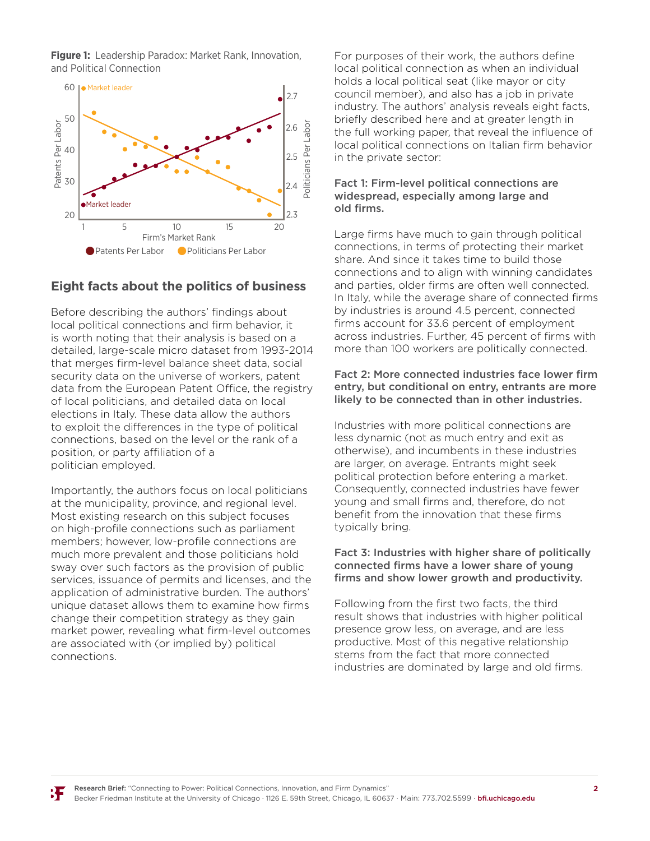**Figure 1:** Leadership Paradox: Market Rank, Innovation, and Political Connection



## **Eight facts about the politics of business**

Before describing the authors' findings about local political connections and firm behavior, it is worth noting that their analysis is based on a detailed, large-scale micro dataset from 1993-2014 that merges firm-level balance sheet data, social security data on the universe of workers, patent data from the European Patent Office, the registry of local politicians, and detailed data on local elections in Italy. These data allow the authors to exploit the differences in the type of political connections, based on the level or the rank of a position, or party affiliation of a politician employed.

Importantly, the authors focus on local politicians at the municipality, province, and regional level. Most existing research on this subject focuses on high-profile connections such as parliament members; however, low-profile connections are much more prevalent and those politicians hold sway over such factors as the provision of public services, issuance of permits and licenses, and the application of administrative burden. The authors' unique dataset allows them to examine how firms change their competition strategy as they gain market power, revealing what firm-level outcomes are associated with (or implied by) political connections.

For purposes of their work, the authors define local political connection as when an individual holds a local political seat (like mayor or city council member), and also has a job in private industry. The authors' analysis reveals eight facts, briefly described here and at greater length in the full working paper, that reveal the influence of local political connections on Italian firm behavior in the private sector:

#### Fact 1: Firm-level political connections are widespread, especially among large and old firms.

Large firms have much to gain through political connections, in terms of protecting their market share. And since it takes time to build those connections and to align with winning candidates and parties, older firms are often well connected. In Italy, while the average share of connected firms by industries is around 4.5 percent, connected firms account for 33.6 percent of employment across industries. Further, 45 percent of firms with more than 100 workers are politically connected.

#### Fact 2: More connected industries face lower firm entry, but conditional on entry, entrants are more likely to be connected than in other industries.

Industries with more political connections are less dynamic (not as much entry and exit as otherwise), and incumbents in these industries are larger, on average. Entrants might seek political protection before entering a market. Consequently, connected industries have fewer young and small firms and, therefore, do not benefit from the innovation that these firms typically bring.

#### Fact 3: Industries with higher share of politically connected firms have a lower share of young firms and show lower growth and productivity.

Following from the first two facts, the third result shows that industries with higher political presence grow less, on average, and are less productive. Most of this negative relationship stems from the fact that more connected industries are dominated by large and old firms.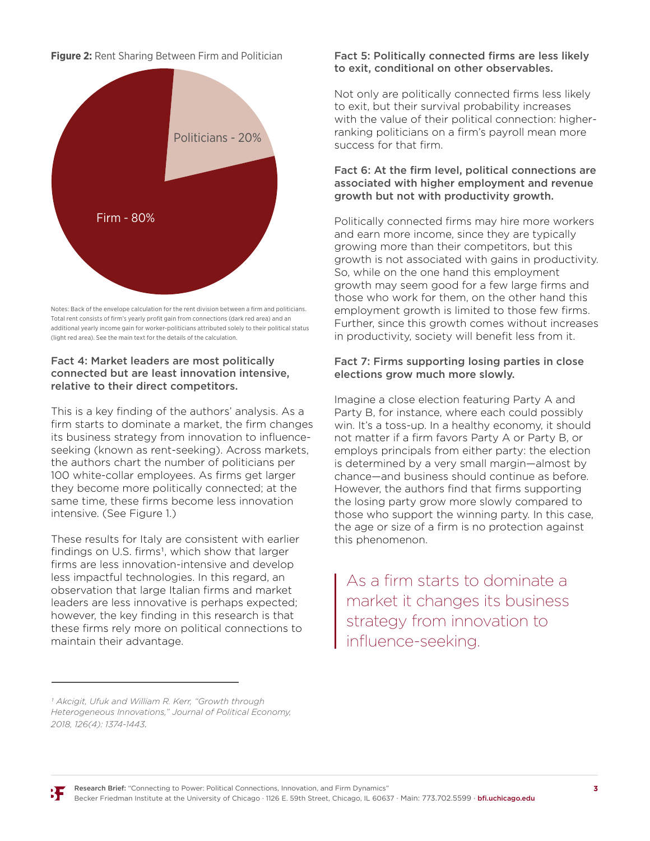**Figure 2:** Rent Sharing Between Firm and Politician



Notes: Back of the envelope calculation for the rent division between a firm and politicians. Total rent consists of firm's yearly profit gain from connections (dark red area) and an additional yearly income gain for worker-politicians attributed solely to their political status (light red area). See the main text for the details of the calculation.

#### Fact 4: Market leaders are most politically connected but are least innovation intensive, relative to their direct competitors.

This is a key finding of the authors' analysis. As a firm starts to dominate a market, the firm changes its business strategy from innovation to influenceseeking (known as rent-seeking). Across markets, the authors chart the number of politicians per 100 white-collar employees. As firms get larger they become more politically connected; at the same time, these firms become less innovation intensive. (See Figure 1.)

These results for Italy are consistent with earlier findings on U.S. firms<sup>1</sup>, which show that larger firms are less innovation-intensive and develop less impactful technologies. In this regard, an observation that large Italian firms and market leaders are less innovative is perhaps expected; however, the key finding in this research is that these firms rely more on political connections to maintain their advantage.

#### Fact 5: Politically connected firms are less likely to exit, conditional on other observables.

Not only are politically connected firms less likely to exit, but their survival probability increases with the value of their political connection: higherranking politicians on a firm's payroll mean more success for that firm.

### Fact 6: At the firm level, political connections are associated with higher employment and revenue growth but not with productivity growth.

Politically connected firms may hire more workers and earn more income, since they are typically growing more than their competitors, but this growth is not associated with gains in productivity. So, while on the one hand this employment growth may seem good for a few large firms and those who work for them, on the other hand this employment growth is limited to those few firms. Further, since this growth comes without increases in productivity, society will benefit less from it.

## Fact 7: Firms supporting losing parties in close elections grow much more slowly.

Imagine a close election featuring Party A and Party B, for instance, where each could possibly win. It's a toss-up. In a healthy economy, it should not matter if a firm favors Party A or Party B, or employs principals from either party: the election is determined by a very small margin—almost by chance—and business should continue as before. However, the authors find that firms supporting the losing party grow more slowly compared to those who support the winning party. In this case, the age or size of a firm is no protection against this phenomenon.

As a firm starts to dominate a market it changes its business strategy from innovation to nfluence-seeking.

*<sup>1</sup> Akcigit, Ufuk and William R. Kerr, "Growth through Heterogeneous Innovations," Journal of Political Economy, 2018, 126(4): 1374-1443.*